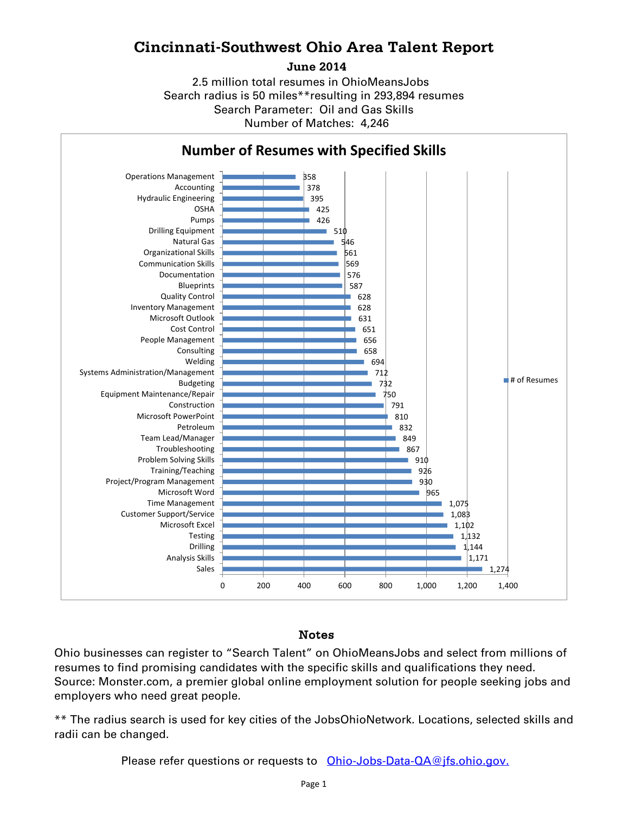## **Cincinnati-Southwest Ohio Area Talent Report**

**June 2014**

Search radius is 50 miles\*\*resulting in 293,894 resumes Number of Matches: 4,246 Search Parameter: Oil and Gas Skills 2.5 million total resumes in OhioMeansJobs



## Notes

Ohio businesses can register to "Search Talent" on OhioMeansJobs and select from millions of resumes to find promising candidates with the specific skills and qualifications they need. Source: Monster.com, a premier global online employment solution for people seeking jobs and employers who need great people.

\*\* The radius search is used for key cities of the JobsOhioNetwork. Locations, selected skills and radii can be changed.

Please refer questions or requests to [Ohio-Jobs-Data-QA@jfs.ohio.gov.](mailto:Ohio-Jobs-Data-QA@jfs.ohio.gov.)